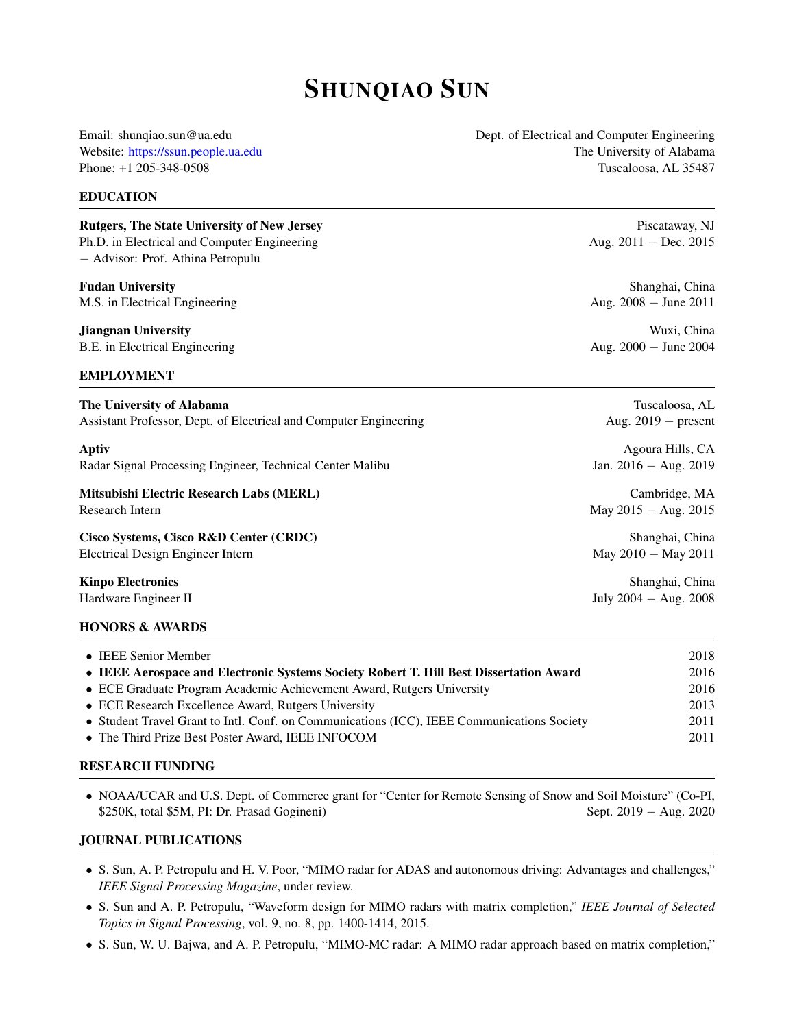# SHUNQIAO SUN

Email: shunqiao.sun@ua.edu Dept. of Electrical and Computer Engineering Website: <https://ssun.people.ua.edu> The University of Alabama Phone: +1 205-348-0508 Tuscaloosa, AL 35487

# EDUCATION

Rutgers, The State University of New Jersey Piscataway, NJ Ph.D. in Electrical and Computer Engineering Aug. 2011 − Dec. 2015 − Advisor: Prof. Athina Petropulu

**Fudan University** Shanghai, China Shanghai, China Shanghai, China Shanghai, China Shanghai, China Shanghai, China Shanghai, China Shanghai, China Shanghai, China Shanghai, China Shanghai, China Shanghai, China Shanghai, C M.S. in Electrical Engineering Aug. 2008 − June 2011

# EMPLOYMENT

**Jiangnan University** Wuxi, China B.E. in Electrical Engineering Aug. 2000 − June 2004

> Tuscaloosa, AL Aug.  $2019$  − present

| The University of Alabama                                         |  |
|-------------------------------------------------------------------|--|
| Assistant Professor, Dept. of Electrical and Computer Engineering |  |

Aptiv Agoura Hills, CA Radar Signal Processing Engineer, Technical Center Malibu Jan. 2016 − Aug. 2019

Mitsubishi Electric Research Labs (MERL) Cambridge, MA Research Intern May 2015 − Aug. 2015

Cisco Systems, Cisco R&D Center (CRDC) Shanghai, China Electrical Design Engineer Intern May 2010 − May 2011

**Kinpo Electronics** Shanghai, China Hardware Engineer II July 2004 − Aug. 2008

#### HONORS & AWARDS

| • IEEE Senior Member                                                                       | 2018 |
|--------------------------------------------------------------------------------------------|------|
| • IEEE Aerospace and Electronic Systems Society Robert T. Hill Best Dissertation Award     | 2016 |
| • ECE Graduate Program Academic Achievement Award, Rutgers University                      | 2016 |
| • ECE Research Excellence Award, Rutgers University                                        | 2013 |
| • Student Travel Grant to Intl. Conf. on Communications (ICC), IEEE Communications Society | 2011 |
| • The Third Prize Best Poster Award, IEEE INFOCOM                                          | 2011 |

# RESEARCH FUNDING

• NOAA/UCAR and U.S. Dept. of Commerce grant for "Center for Remote Sensing of Snow and Soil Moisture" (Co-PI, \$250K, total \$5M, PI: Dr. Prasad Gogineni) Sept. 2019 − Aug. 2020

# JOURNAL PUBLICATIONS

- S. Sun, A. P. Petropulu and H. V. Poor, "MIMO radar for ADAS and autonomous driving: Advantages and challenges," *IEEE Signal Processing Magazine*, under review.
- S. Sun and A. P. Petropulu, "Waveform design for MIMO radars with matrix completion," *IEEE Journal of Selected Topics in Signal Processing*, vol. 9, no. 8, pp. 1400-1414, 2015.
- S. Sun, W. U. Bajwa, and A. P. Petropulu, "MIMO-MC radar: A MIMO radar approach based on matrix completion,"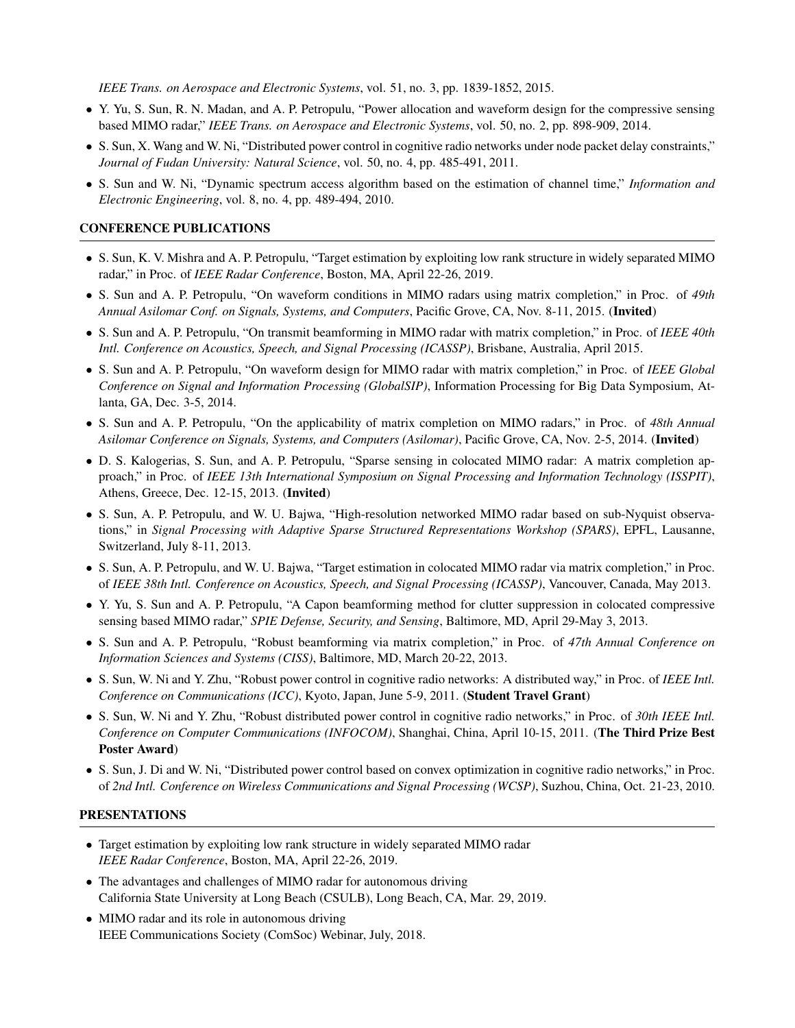*IEEE Trans. on Aerospace and Electronic Systems*, vol. 51, no. 3, pp. 1839-1852, 2015.

- Y. Yu, S. Sun, R. N. Madan, and A. P. Petropulu, "Power allocation and waveform design for the compressive sensing based MIMO radar," *IEEE Trans. on Aerospace and Electronic Systems*, vol. 50, no. 2, pp. 898-909, 2014.
- S. Sun, X. Wang and W. Ni, "Distributed power control in cognitive radio networks under node packet delay constraints," *Journal of Fudan University: Natural Science*, vol. 50, no. 4, pp. 485-491, 2011.
- S. Sun and W. Ni, "Dynamic spectrum access algorithm based on the estimation of channel time," *Information and Electronic Engineering*, vol. 8, no. 4, pp. 489-494, 2010.

# CONFERENCE PUBLICATIONS

- S. Sun, K. V. Mishra and A. P. Petropulu, "Target estimation by exploiting low rank structure in widely separated MIMO radar," in Proc. of *IEEE Radar Conference*, Boston, MA, April 22-26, 2019.
- S. Sun and A. P. Petropulu, "On waveform conditions in MIMO radars using matrix completion," in Proc. of *49th Annual Asilomar Conf. on Signals, Systems, and Computers*, Pacific Grove, CA, Nov. 8-11, 2015. (Invited)
- S. Sun and A. P. Petropulu, "On transmit beamforming in MIMO radar with matrix completion," in Proc. of *IEEE 40th Intl. Conference on Acoustics, Speech, and Signal Processing (ICASSP)*, Brisbane, Australia, April 2015.
- S. Sun and A. P. Petropulu, "On waveform design for MIMO radar with matrix completion," in Proc. of *IEEE Global Conference on Signal and Information Processing (GlobalSIP)*, Information Processing for Big Data Symposium, Atlanta, GA, Dec. 3-5, 2014.
- S. Sun and A. P. Petropulu, "On the applicability of matrix completion on MIMO radars," in Proc. of *48th Annual Asilomar Conference on Signals, Systems, and Computers (Asilomar)*, Pacific Grove, CA, Nov. 2-5, 2014. (Invited)
- D. S. Kalogerias, S. Sun, and A. P. Petropulu, "Sparse sensing in colocated MIMO radar: A matrix completion approach," in Proc. of *IEEE 13th International Symposium on Signal Processing and Information Technology (ISSPIT)*, Athens, Greece, Dec. 12-15, 2013. (Invited)
- S. Sun, A. P. Petropulu, and W. U. Bajwa, "High-resolution networked MIMO radar based on sub-Nyquist observations," in *Signal Processing with Adaptive Sparse Structured Representations Workshop (SPARS)*, EPFL, Lausanne, Switzerland, July 8-11, 2013.
- S. Sun, A. P. Petropulu, and W. U. Bajwa, "Target estimation in colocated MIMO radar via matrix completion," in Proc. of *IEEE 38th Intl. Conference on Acoustics, Speech, and Signal Processing (ICASSP)*, Vancouver, Canada, May 2013.
- Y. Yu, S. Sun and A. P. Petropulu, "A Capon beamforming method for clutter suppression in colocated compressive sensing based MIMO radar," *SPIE Defense, Security, and Sensing*, Baltimore, MD, April 29-May 3, 2013.
- S. Sun and A. P. Petropulu, "Robust beamforming via matrix completion," in Proc. of *47th Annual Conference on Information Sciences and Systems (CISS)*, Baltimore, MD, March 20-22, 2013.
- S. Sun, W. Ni and Y. Zhu, "Robust power control in cognitive radio networks: A distributed way," in Proc. of *IEEE Intl. Conference on Communications (ICC)*, Kyoto, Japan, June 5-9, 2011. (Student Travel Grant)
- S. Sun, W. Ni and Y. Zhu, "Robust distributed power control in cognitive radio networks," in Proc. of *30th IEEE Intl. Conference on Computer Communications (INFOCOM)*, Shanghai, China, April 10-15, 2011. (The Third Prize Best Poster Award)
- S. Sun, J. Di and W. Ni, "Distributed power control based on convex optimization in cognitive radio networks," in Proc. of *2nd Intl. Conference on Wireless Communications and Signal Processing (WCSP)*, Suzhou, China, Oct. 21-23, 2010.

#### PRESENTATIONS

- Target estimation by exploiting low rank structure in widely separated MIMO radar *IEEE Radar Conference*, Boston, MA, April 22-26, 2019.
- The advantages and challenges of MIMO radar for autonomous driving California State University at Long Beach (CSULB), Long Beach, CA, Mar. 29, 2019.
- MIMO radar and its role in autonomous driving IEEE Communications Society (ComSoc) Webinar, July, 2018.